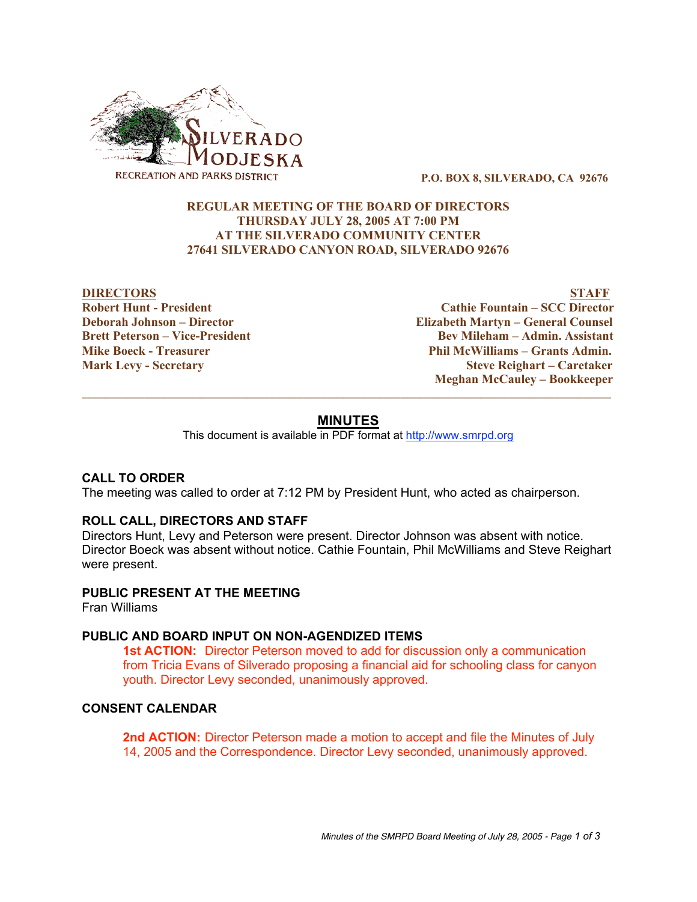

P.O. BOX 8, SILVERADO, CA 92676

# REGULAR MEETING OF THE BOARD OF DIRECTORS THURSDAY JULY 28, 2005 AT 7:00 PM AT THE SILVERADO COMMUNITY CENTER 27641 SILVERADO CANYON ROAD, SILVERADO 92676

DIRECTORS STAFF Robert Hunt - President Cathie Fountain – SCC Director Deborah Johnson – Director Elizabeth Martyn – General Counsel Brett Peterson – Vice-President Bev Mileham – Admin. Assistant Mike Boeck - Treasurer Phil McWilliams – Grants Admin. Mark Levy - Secretary Steve Reighart – Caretaker Meghan McCauley – Bookkeeper

# **MINUTES**

 $\_$  ,  $\_$  ,  $\_$  ,  $\_$  ,  $\_$  ,  $\_$  ,  $\_$  ,  $\_$  ,  $\_$  ,  $\_$  ,  $\_$  ,  $\_$  ,  $\_$  ,  $\_$  ,  $\_$  ,  $\_$  ,  $\_$  ,  $\_$  ,  $\_$  ,  $\_$  ,  $\_$  ,  $\_$  ,  $\_$  ,  $\_$  ,  $\_$  ,  $\_$  ,  $\_$  ,  $\_$  ,  $\_$  ,  $\_$  ,  $\_$  ,  $\_$  ,  $\_$  ,  $\_$  ,  $\_$  ,  $\_$  ,  $\_$  ,

This document is available in PDF format at http://www.smrpd.org

## **CALL TO ORDER**

The meeting was called to order at 7:12 PM by President Hunt, who acted as chairperson.

## **ROLL CALL, DIRECTORS AND STAFF**

Directors Hunt, Levy and Peterson were present. Director Johnson was absent with notice. Director Boeck was absent without notice. Cathie Fountain, Phil McWilliams and Steve Reighart were present.

## **PUBLIC PRESENT AT THE MEETING**

Fran Williams

## **PUBLIC AND BOARD INPUT ON NON-AGENDIZED ITEMS**

**1st ACTION:** Director Peterson moved to add for discussion only a communication from Tricia Evans of Silverado proposing a financial aid for schooling class for canyon youth. Director Levy seconded, unanimously approved.

# **CONSENT CALENDAR**

**2nd ACTION:** Director Peterson made a motion to accept and file the Minutes of July 14, 2005 and the Correspondence. Director Levy seconded, unanimously approved.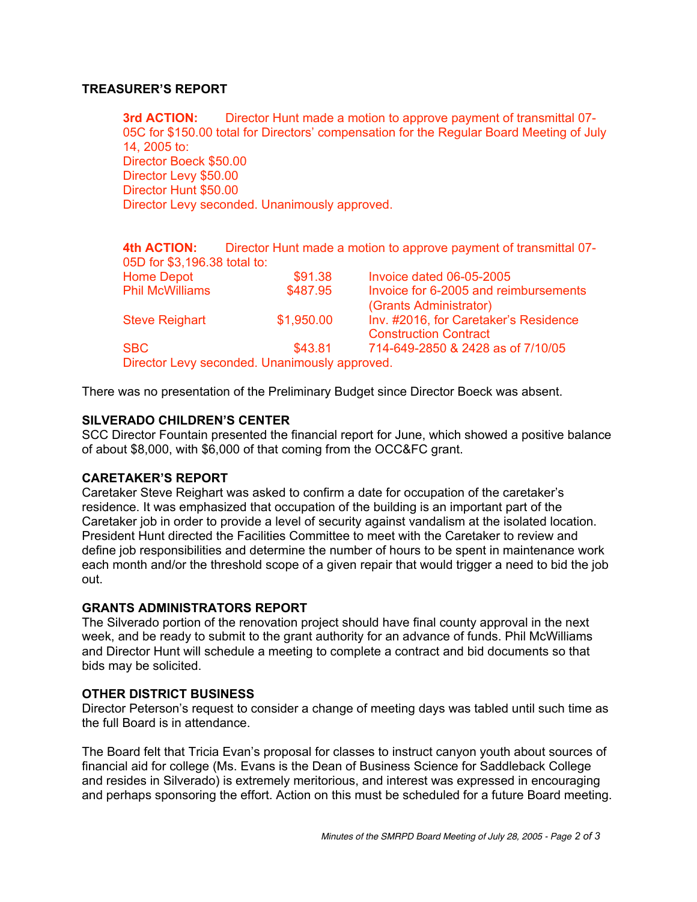# **TREASURER'S REPORT**

**3rd ACTION:** Director Hunt made a motion to approve payment of transmittal 07-05C for \$150.00 total for Directors' compensation for the Regular Board Meeting of July 14, 2005 to: Director Boeck \$50.00 Director Levy \$50.00 Director Hunt \$50.00 Director Levy seconded. Unanimously approved.

**4th ACTION:** Director Hunt made a motion to approve payment of transmittal 07- 05D for \$3,196.38 total to: Home Depot **\$91.38** Invoice dated 06-05-2005 Phil McWilliams \$487.95 Invoice for 6-2005 and reimbursements (Grants Administrator) Steve Reighart **\$1,950.00** Inv. #2016, for Caretaker's Residence Construction Contract SBC \$43.81 714-649-2850 & 2428 as of 7/10/05

Director Levy seconded. Unanimously approved.

There was no presentation of the Preliminary Budget since Director Boeck was absent.

# **SILVERADO CHILDREN'S CENTER**

SCC Director Fountain presented the financial report for June, which showed a positive balance of about \$8,000, with \$6,000 of that coming from the OCC&FC grant.

# **CARETAKER'S REPORT**

Caretaker Steve Reighart was asked to confirm a date for occupation of the caretaker's residence. It was emphasized that occupation of the building is an important part of the Caretaker job in order to provide a level of security against vandalism at the isolated location. President Hunt directed the Facilities Committee to meet with the Caretaker to review and define job responsibilities and determine the number of hours to be spent in maintenance work each month and/or the threshold scope of a given repair that would trigger a need to bid the job out.

#### **GRANTS ADMINISTRATORS REPORT**

The Silverado portion of the renovation project should have final county approval in the next week, and be ready to submit to the grant authority for an advance of funds. Phil McWilliams and Director Hunt will schedule a meeting to complete a contract and bid documents so that bids may be solicited.

#### **OTHER DISTRICT BUSINESS**

Director Peterson's request to consider a change of meeting days was tabled until such time as the full Board is in attendance.

The Board felt that Tricia Evan's proposal for classes to instruct canyon youth about sources of financial aid for college (Ms. Evans is the Dean of Business Science for Saddleback College and resides in Silverado) is extremely meritorious, and interest was expressed in encouraging and perhaps sponsoring the effort. Action on this must be scheduled for a future Board meeting.